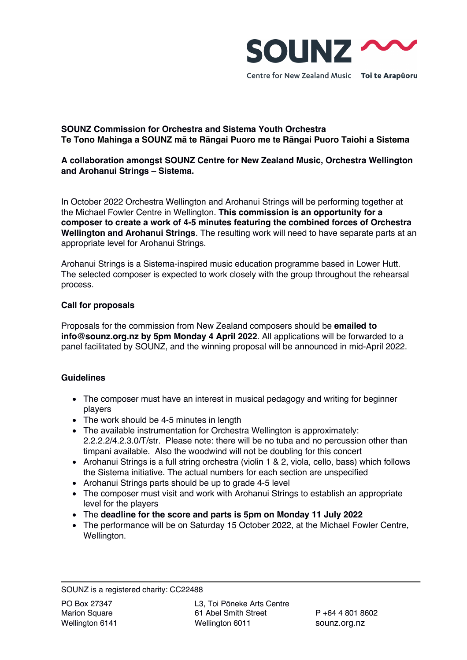

Centre for New Zealand Music Toi te Arapuoru

# **SOUNZ Commission for Orchestra and Sistema Youth Orchestra Te Tono Mahinga a SOUNZ mā te Rāngai Puoro me te Rāngai Puoro Taiohi a Sistema**

# **A collaboration amongst SOUNZ Centre for New Zealand Music, Orchestra Wellington and Arohanui Strings – Sistema.**

In October 2022 Orchestra Wellington and Arohanui Strings will be performing together at the Michael Fowler Centre in Wellington. **This commission is an opportunity for a composer to create a work of 4-5 minutes featuring the combined forces of Orchestra Wellington and Arohanui Strings**. The resulting work will need to have separate parts at an appropriate level for Arohanui Strings.

Arohanui Strings is a Sistema-inspired music education programme based in Lower Hutt. The selected composer is expected to work closely with the group throughout the rehearsal process.

## **Call for proposals**

Proposals for the commission from New Zealand composers should be **emailed to info@sounz.org.nz by 5pm Monday 4 April 2022**. All applications will be forwarded to a panel facilitated by SOUNZ, and the winning proposal will be announced in mid-April 2022.

## **Guidelines**

- The composer must have an interest in musical pedagogy and writing for beginner players
- The work should be 4-5 minutes in length
- The available instrumentation for Orchestra Wellington is approximately: 2.2.2.2/4.2.3.0/T/str. Please note: there will be no tuba and no percussion other than timpani available. Also the woodwind will not be doubling for this concert
- Arohanui Strings is a full string orchestra (violin 1 & 2, viola, cello, bass) which follows the Sistema initiative. The actual numbers for each section are unspecified
- Arohanui Strings parts should be up to grade 4-5 level
- The composer must visit and work with Arohanui Strings to establish an appropriate level for the players
- The **deadline for the score and parts is 5pm on Monday 11 July 2022**
- The performance will be on Saturday 15 October 2022, at the Michael Fowler Centre, Wellington.

SOUNZ is a registered charity: CC22488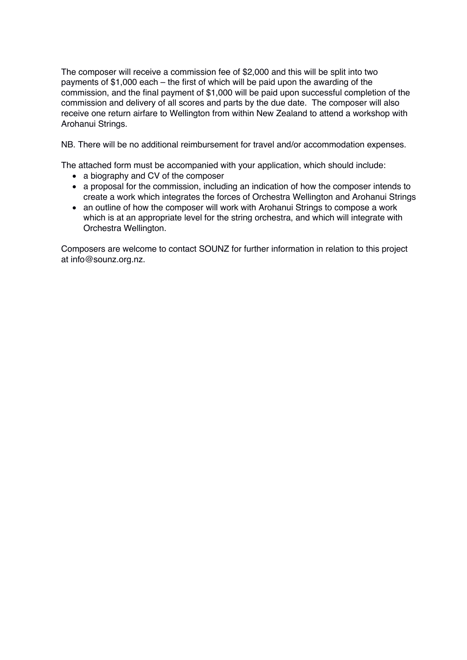The composer will receive a commission fee of \$2,000 and this will be split into two payments of \$1,000 each – the first of which will be paid upon the awarding of the commission, and the final payment of \$1,000 will be paid upon successful completion of the commission and delivery of all scores and parts by the due date. The composer will also receive one return airfare to Wellington from within New Zealand to attend a workshop with Arohanui Strings.

NB. There will be no additional reimbursement for travel and/or accommodation expenses.

The attached form must be accompanied with your application, which should include:

- a biography and CV of the composer
- a proposal for the commission, including an indication of how the composer intends to create a work which integrates the forces of Orchestra Wellington and Arohanui Strings
- an outline of how the composer will work with Arohanui Strings to compose a work which is at an appropriate level for the string orchestra, and which will integrate with Orchestra Wellington.

Composers are welcome to contact SOUNZ for further information in relation to this project at info@sounz.org.nz.